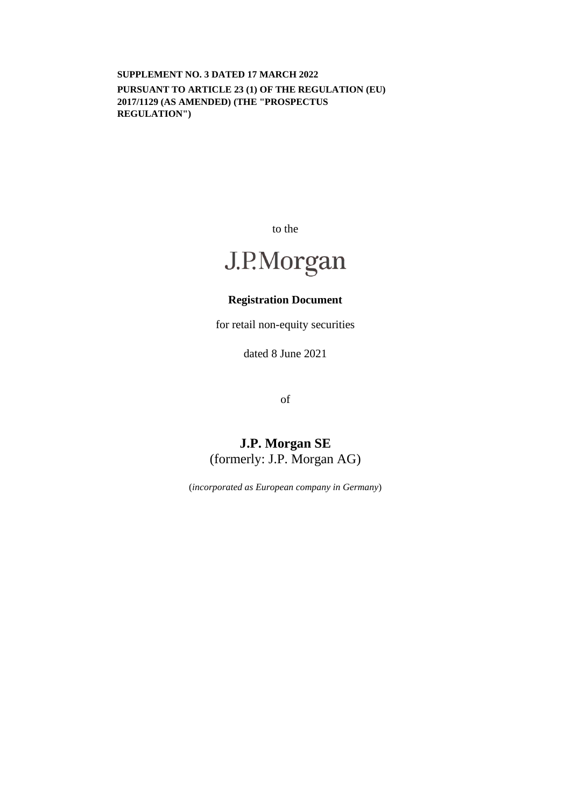**SUPPLEMENT NO. 3 DATED 17 MARCH 2022 PURSUANT TO ARTICLE 23 (1) OF THE REGULATION (EU) 2017/1129 (AS AMENDED) (THE "PROSPECTUS REGULATION")** 

to the

# J.P.Morgan

# **Registration Document**

for retail non-equity securities

dated 8 June 2021

of

# **J.P. Morgan SE**  (formerly: J.P. Morgan AG)

(*incorporated as European company in Germany*)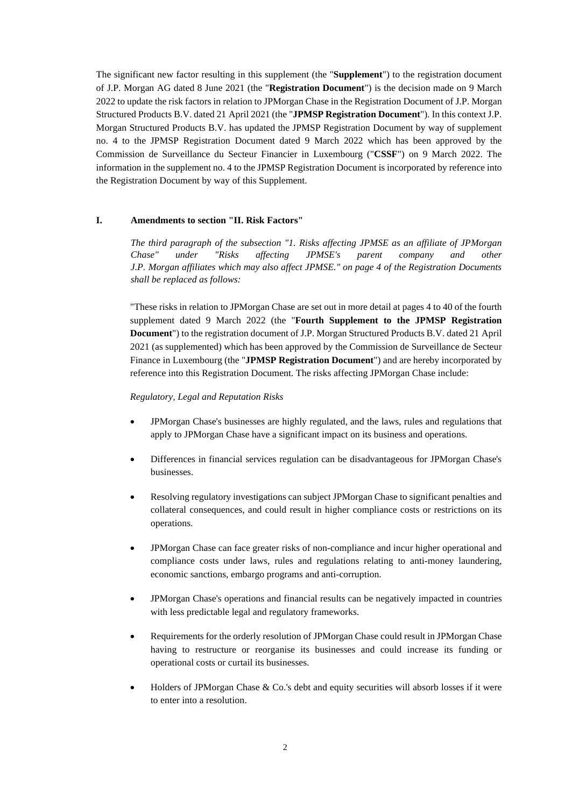The significant new factor resulting in this supplement (the "**Supplement**") to the registration document of J.P. Morgan AG dated 8 June 2021 (the "**Registration Document**") is the decision made on 9 March 2022 to update the risk factors in relation to JPMorgan Chase in the Registration Document of J.P. Morgan Structured Products B.V. dated 21 April 2021 (the "**JPMSP Registration Document**"). In this context J.P. Morgan Structured Products B.V. has updated the JPMSP Registration Document by way of supplement no. 4 to the JPMSP Registration Document dated 9 March 2022 which has been approved by the Commission de Surveillance du Secteur Financier in Luxembourg ("**CSSF**") on 9 March 2022. The information in the supplement no. 4 to the JPMSP Registration Document is incorporated by reference into the Registration Document by way of this Supplement.

#### **I. Amendments to section "II. Risk Factors"**

*The third paragraph of the subsection "1. Risks affecting JPMSE as an affiliate of JPMorgan Chase" under "Risks affecting JPMSE's parent company and other J.P. Morgan affiliates which may also affect JPMSE." on page 4 of the Registration Documents shall be replaced as follows:* 

"These risks in relation to JPMorgan Chase are set out in more detail at pages 4 to 40 of the fourth supplement dated 9 March 2022 (the "**Fourth Supplement to the JPMSP Registration Document**") to the registration document of J.P. Morgan Structured Products B.V. dated 21 April 2021 (as supplemented) which has been approved by the Commission de Surveillance de Secteur Finance in Luxembourg (the "**JPMSP Registration Document**") and are hereby incorporated by reference into this Registration Document. The risks affecting JPMorgan Chase include:

#### *Regulatory, Legal and Reputation Risks*

- JPMorgan Chase's businesses are highly regulated, and the laws, rules and regulations that apply to JPMorgan Chase have a significant impact on its business and operations.
- Differences in financial services regulation can be disadvantageous for JPMorgan Chase's businesses.
- Resolving regulatory investigations can subject JPMorgan Chase to significant penalties and collateral consequences, and could result in higher compliance costs or restrictions on its operations.
- JPMorgan Chase can face greater risks of non-compliance and incur higher operational and compliance costs under laws, rules and regulations relating to anti-money laundering, economic sanctions, embargo programs and anti-corruption.
- JPMorgan Chase's operations and financial results can be negatively impacted in countries with less predictable legal and regulatory frameworks.
- Requirements for the orderly resolution of JPMorgan Chase could result in JPMorgan Chase having to restructure or reorganise its businesses and could increase its funding or operational costs or curtail its businesses.
- Holders of JPMorgan Chase & Co.'s debt and equity securities will absorb losses if it were to enter into a resolution.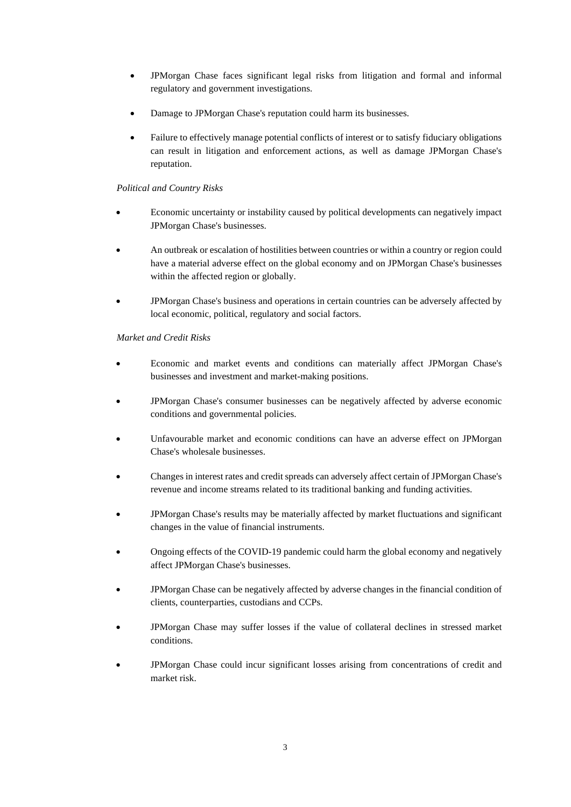- JPMorgan Chase faces significant legal risks from litigation and formal and informal regulatory and government investigations.
- Damage to JPMorgan Chase's reputation could harm its businesses.
- Failure to effectively manage potential conflicts of interest or to satisfy fiduciary obligations can result in litigation and enforcement actions, as well as damage JPMorgan Chase's reputation.

## *Political and Country Risks*

- Economic uncertainty or instability caused by political developments can negatively impact JPMorgan Chase's businesses.
- An outbreak or escalation of hostilities between countries or within a country or region could have a material adverse effect on the global economy and on JPMorgan Chase's businesses within the affected region or globally.
- JPMorgan Chase's business and operations in certain countries can be adversely affected by local economic, political, regulatory and social factors.

## *Market and Credit Risks*

- Economic and market events and conditions can materially affect JPMorgan Chase's businesses and investment and market-making positions.
- JPMorgan Chase's consumer businesses can be negatively affected by adverse economic conditions and governmental policies.
- Unfavourable market and economic conditions can have an adverse effect on JPMorgan Chase's wholesale businesses.
- Changes in interest rates and credit spreads can adversely affect certain of JPMorgan Chase's revenue and income streams related to its traditional banking and funding activities.
- JPMorgan Chase's results may be materially affected by market fluctuations and significant changes in the value of financial instruments.
- Ongoing effects of the COVID-19 pandemic could harm the global economy and negatively affect JPMorgan Chase's businesses.
- JPMorgan Chase can be negatively affected by adverse changes in the financial condition of clients, counterparties, custodians and CCPs.
- JPMorgan Chase may suffer losses if the value of collateral declines in stressed market conditions.
- JPMorgan Chase could incur significant losses arising from concentrations of credit and market risk.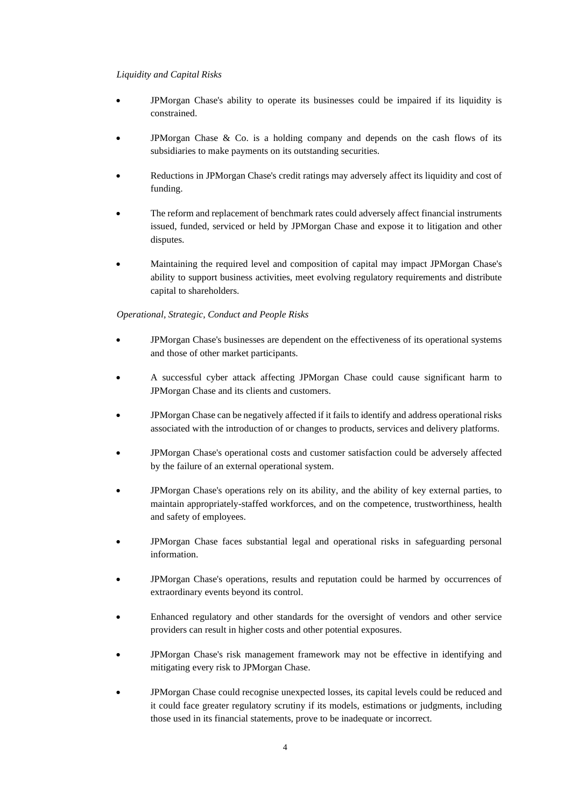#### *Liquidity and Capital Risks*

- JPMorgan Chase's ability to operate its businesses could be impaired if its liquidity is constrained.
- JPMorgan Chase  $\&$  Co. is a holding company and depends on the cash flows of its subsidiaries to make payments on its outstanding securities.
- Reductions in JPMorgan Chase's credit ratings may adversely affect its liquidity and cost of funding.
- The reform and replacement of benchmark rates could adversely affect financial instruments issued, funded, serviced or held by JPMorgan Chase and expose it to litigation and other disputes.
- Maintaining the required level and composition of capital may impact JPMorgan Chase's ability to support business activities, meet evolving regulatory requirements and distribute capital to shareholders.

#### *Operational, Strategic, Conduct and People Risks*

- JPMorgan Chase's businesses are dependent on the effectiveness of its operational systems and those of other market participants.
- A successful cyber attack affecting JPMorgan Chase could cause significant harm to JPMorgan Chase and its clients and customers.
- JPMorgan Chase can be negatively affected if it fails to identify and address operational risks associated with the introduction of or changes to products, services and delivery platforms.
- JPMorgan Chase's operational costs and customer satisfaction could be adversely affected by the failure of an external operational system.
- JPMorgan Chase's operations rely on its ability, and the ability of key external parties, to maintain appropriately-staffed workforces, and on the competence, trustworthiness, health and safety of employees.
- JPMorgan Chase faces substantial legal and operational risks in safeguarding personal information.
- JPMorgan Chase's operations, results and reputation could be harmed by occurrences of extraordinary events beyond its control.
- Enhanced regulatory and other standards for the oversight of vendors and other service providers can result in higher costs and other potential exposures.
- JPMorgan Chase's risk management framework may not be effective in identifying and mitigating every risk to JPMorgan Chase.
- JPMorgan Chase could recognise unexpected losses, its capital levels could be reduced and it could face greater regulatory scrutiny if its models, estimations or judgments, including those used in its financial statements, prove to be inadequate or incorrect.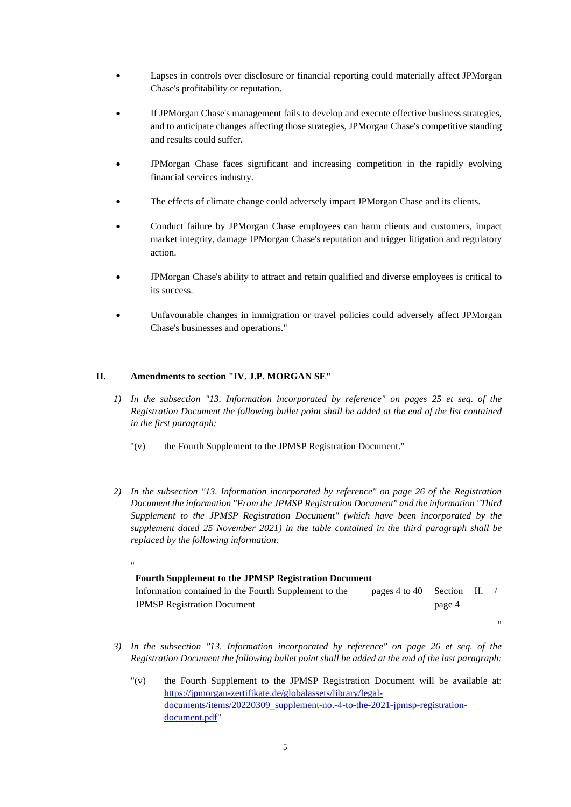- Lapses in controls over disclosure or financial reporting could materially affect JPMorgan Chase's profitability or reputation.
- If JPMorgan Chase's management fails to develop and execute effective business strategies, and to anticipate changes affecting those strategies, JPMorgan Chase's competitive standing and results could suffer.
- JPMorgan Chase faces significant and increasing competition in the rapidly evolving financial services industry.
- The effects of climate change could adversely impact JPMorgan Chase and its clients.
- Conduct failure by JPMorgan Chase employees can harm clients and customers, impact market integrity, damage JPMorgan Chase's reputation and trigger litigation and regulatory action.
- JPMorgan Chase's ability to attract and retain qualified and diverse employees is critical to its success.
- Unfavourable changes in immigration or travel policies could adversely affect JPMorgan Chase's businesses and operations."

#### **II. Amendments to section "IV. J.P. MORGAN SE"**

- *1) In the subsection "13. Information incorporated by reference" on pages 25 et seq. of the Registration Document the following bullet point shall be added at the end of the list contained in the first paragraph:* 
	- "(v) the Fourth Supplement to the JPMSP Registration Document."
- *2) In the subsection "13. Information incorporated by reference" on page 26 of the Registration Document the information "From the JPMSP Registration Document" and the information "Third Supplement to the JPMSP Registration Document" (which have been incorporated by the supplement dated 25 November 2021) in the table contained in the third paragraph shall be replaced by the following information:*

#### " **Fourth Supplement to the JPMSP Registration Document** Information contained in the Fourth Supplement to the JPMSP Registration Document pages 4 to 40 Section II. / page 4

"

- *3) In the subsection "13. Information incorporated by reference" on page 26 et seq. of the Registration Document the following bullet point shall be added at the end of the last paragraph:* 
	- "(v) the Fourth Supplement to the JPMSP Registration Document will be available at: [https://jpmorgan-zertifikate.de/globalassets/library/legal](https://jpmorgan-zertifikate.de/globalassets/library/legal-documents/items/20220309_supplement-no.-4-to-the-2021-jpmsp-registration-document.pdf)[documents/items/20220309\\_supplement-no.-4-to-the-2021-jpmsp-registration](https://jpmorgan-zertifikate.de/globalassets/library/legal-documents/items/20220309_supplement-no.-4-to-the-2021-jpmsp-registration-document.pdf)[document.pdf"](https://jpmorgan-zertifikate.de/globalassets/library/legal-documents/items/20220309_supplement-no.-4-to-the-2021-jpmsp-registration-document.pdf)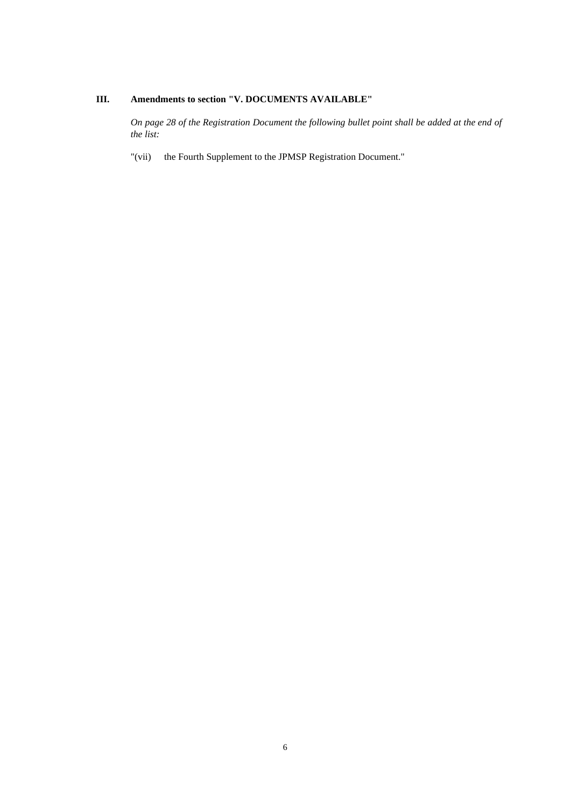## **III. Amendments to section "V. DOCUMENTS AVAILABLE"**

*On page 28 of the Registration Document the following bullet point shall be added at the end of the list:* 

"(vii) the Fourth Supplement to the JPMSP Registration Document."